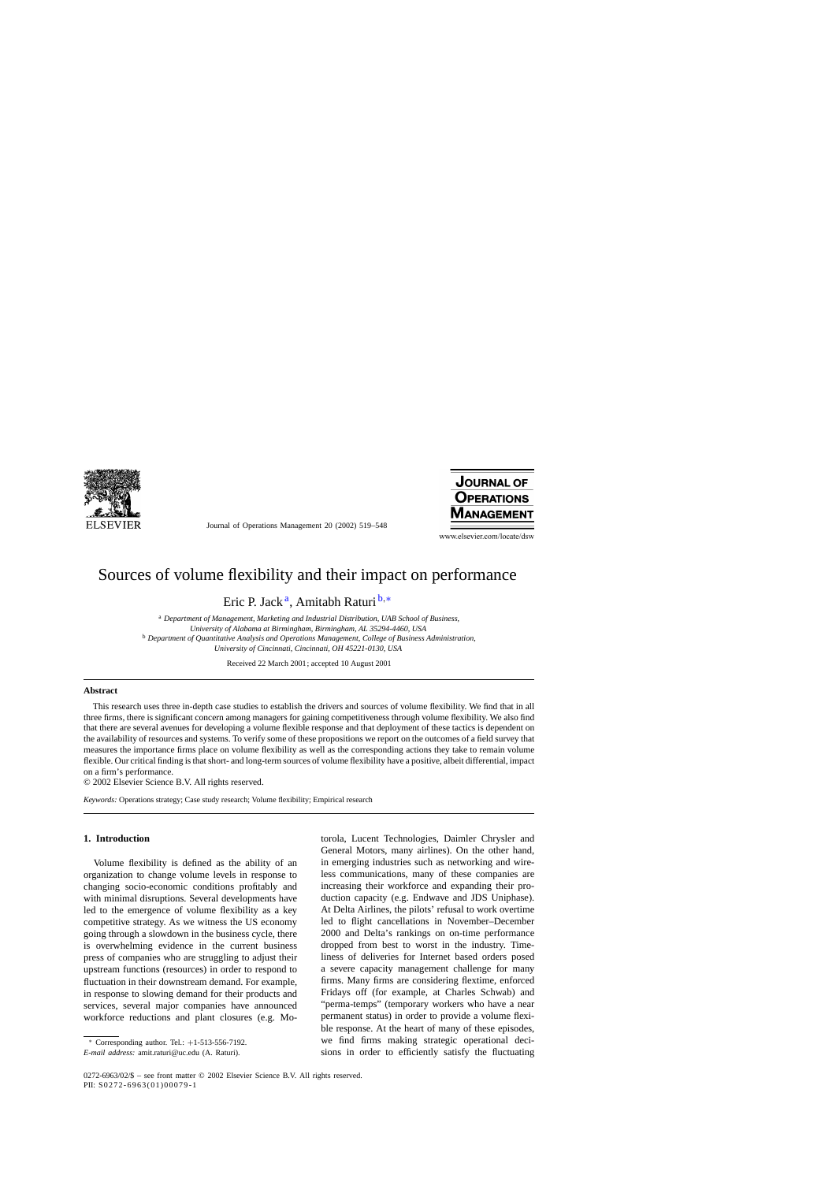

Journal of Operations Management 20 (2002) 519–548



www.elsevier.com/locate/dsw

## Sources of volume flexibility and their impact on performance

Eric P. Jack<sup>a</sup>, Amitabh Raturi b,\*

<sup>a</sup> *Department of Management, Marketing and Industrial Distribution, UAB School of Business, University of Alabama at Birmingham, Birmingham, AL 35294-4460, USA* <sup>b</sup> *Department of Quantitative Analysis and Operations Management, College of Business Administration, University of Cincinnati, Cincinnati, OH 45221-0130, USA*

Received 22 March 2001; accepted 10 August 2001

#### **Abstract**

This research uses three in-depth case studies to establish the drivers and sources of volume flexibility. We find that in all three firms, there is significant concern among managers for gaining competitiveness through volume flexibility. We also find that there are several avenues for developing a volume flexible response and that deployment of these tactics is dependent on the availability of resources and systems. To verify some of these propositions we report on the outcomes of a field survey that measures the importance firms place on volume flexibility as well as the corresponding actions they take to remain volume flexible. Our critical finding is that short- and long-term sources of volume flexibility have a positive, albeit differential, impact on a firm's performance.

© 2002 Elsevier Science B.V. All rights reserved.

*Keywords:* Operations strategy; Case study research; Volume flexibility; Empirical research

#### **1. Introduction**

Volume flexibility is defined as the ability of an organization to change volume levels in response to changing socio-economic conditions profitably and with minimal disruptions. Several developments have led to the emergence of volume flexibility as a key competitive strategy. As we witness the US economy going through a slowdown in the business cycle, there is overwhelming evidence in the current business press of companies who are struggling to adjust their upstream functions (resources) in order to respond to fluctuation in their downstream demand. For example, in response to slowing demand for their products and services, several major companies have announced workforce reductions and plant closures (e.g. Motorola, Lucent Technologies, Daimler Chrysler and General Motors, many airlines). On the other hand, in emerging industries such as networking and wireless communications, many of these companies are increasing their workforce and expanding their production capacity (e.g. Endwave and JDS Uniphase). At Delta Airlines, the pilots' refusal to work overtime led to flight cancellations in November–December 2000 and Delta's rankings on on-time performance dropped from best to worst in the industry. Timeliness of deliveries for Internet based orders posed a severe capacity management challenge for many firms. Many firms are considering flextime, enforced Fridays off (for example, at Charles Schwab) and "perma-temps" (temporary workers who have a near permanent status) in order to provide a volume flexible response. At the heart of many of these episodes, we find firms making strategic operational decisions in order to efficiently satisfy the fluctuating

Corresponding author. Tel.:  $+1-513-556-7192$ .

*E-mail address:* amit.raturi@uc.edu (A. Raturi).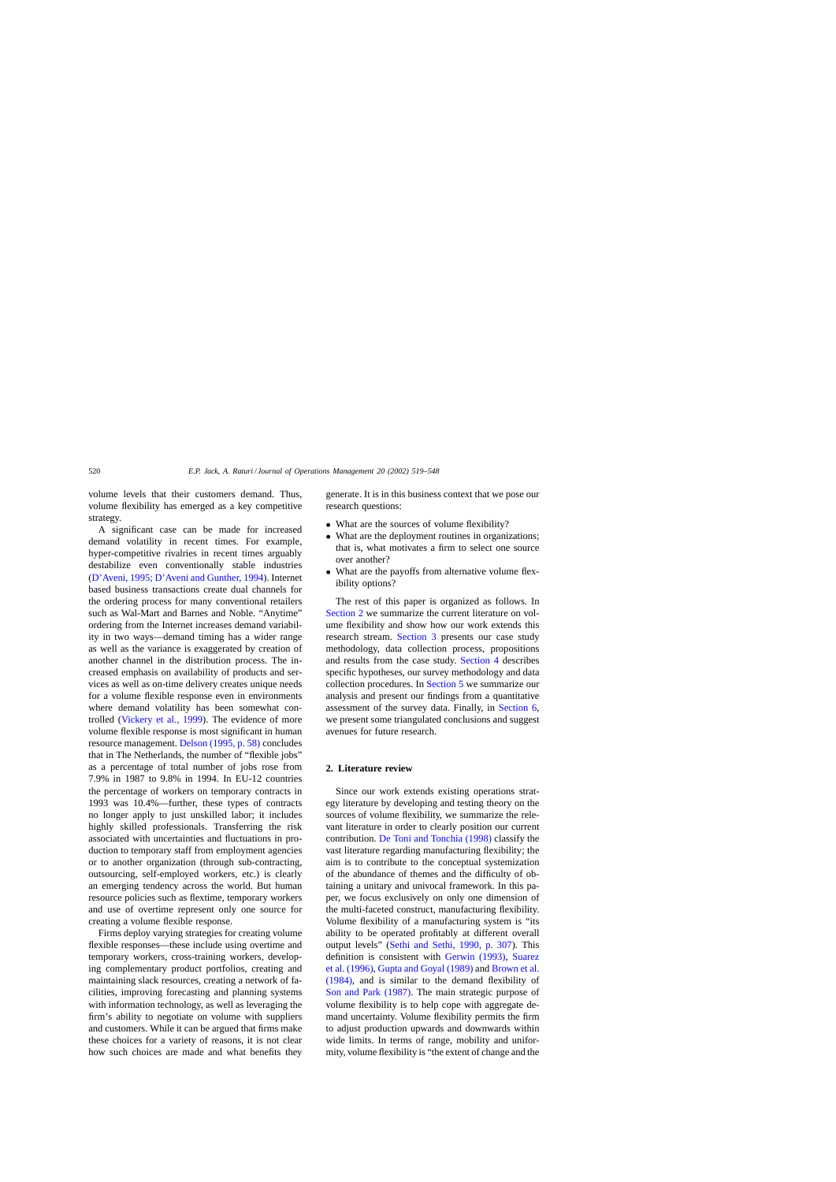volume levels that their customers demand. Thus, volume flexibility has emerged as a key competitive strategy.

A significant case can be made for increased demand volatility in recent times. For example, hyper-competitive rivalries in recent times arguably destabilize even conventionally stable industries ([D'Aveni, 1995; D'Aveni and Gunther, 1994\). I](#page--1-0)nternet based business transactions create dual channels for the ordering process for many conventional retailers such as Wal-Mart and Barnes and Noble. "Anytime" ordering from the Internet increases demand variability in two ways—demand timing has a wider range as well as the variance is exaggerated by creation of another channel in the distribution process. The increased emphasis on availability of products and services as well as on-time delivery creates unique needs for a volume flexible response even in environments where demand volatility has been somewhat controlled [\(Vickery et al., 1999\)](#page--1-0). The evidence of more volume flexible response is most significant in human resource management. [Delson \(1995, p. 58\)](#page--1-0) concludes that in The Netherlands, the number of "flexible jobs" as a percentage of total number of jobs rose from 7.9% in 1987 to 9.8% in 1994. In EU-12 countries the percentage of workers on temporary contracts in 1993 was 10.4%—further, these types of contracts no longer apply to just unskilled labor; it includes highly skilled professionals. Transferring the risk associated with uncertainties and fluctuations in production to temporary staff from employment agencies or to another organization (through sub-contracting, outsourcing, self-employed workers, etc.) is clearly an emerging tendency across the world. But human resource policies such as flextime, temporary workers and use of overtime represent only one source for creating a volume flexible response.

Firms deploy varying strategies for creating volume flexible responses—these include using overtime and temporary workers, cross-training workers, developing complementary product portfolios, creating and maintaining slack resources, creating a network of facilities, improving forecasting and planning systems with information technology, as well as leveraging the firm's ability to negotiate on volume with suppliers and customers. While it can be argued that firms make these choices for a variety of reasons, it is not clear how such choices are made and what benefits they generate. It is in this business context that we pose our research questions:

- What are the sources of volume flexibility?
- What are the deployment routines in organizations; that is, what motivates a firm to select one source over another?
- What are the payoffs from alternative volume flexibility options?

The rest of this paper is organized as follows. In Section 2 we summarize the current literature on volume flexibility and show how our work extends this research stream. [Section 3](#page--1-0) presents our case study methodology, data collection process, propositions and results from the case study. [Section 4](#page--1-0) describes specific hypotheses, our survey methodology and data collection procedures. In [Section 5](#page--1-0) we summarize our analysis and present our findings from a quantitative assessment of the survey data. Finally, in [Section 6,](#page--1-0) we present some triangulated conclusions and suggest avenues for future research.

### **2. Literature review**

Since our work extends existing operations strategy literature by developing and testing theory on the sources of volume flexibility, we summarize the relevant literature in order to clearly position our current contribution. [De Toni and Tonchia \(1998\)](#page--1-0) classify the vast literature regarding manufacturing flexibility; the aim is to contribute to the conceptual systemization of the abundance of themes and the difficulty of obtaining a unitary and univocal framework. In this paper, we focus exclusively on only one dimension of the multi-faceted construct, manufacturing flexibility. Volume flexibility of a manufacturing system is "its ability to be operated profitably at different overall output levels" ([Sethi and Sethi, 1990, p. 307](#page--1-0)). This definition is consistent with [Gerwin \(1993\),](#page--1-0) [Suarez](#page--1-0) [et al. \(1996\),](#page--1-0) [Gupta and Goyal \(1989\)](#page--1-0) and [Brown et al.](#page--1-0) [\(1984\),](#page--1-0) and is similar to the demand flexibility of [Son and Park \(1987\).](#page--1-0) The main strategic purpose of volume flexibility is to help cope with aggregate demand uncertainty. Volume flexibility permits the firm to adjust production upwards and downwards within wide limits. In terms of range, mobility and uniformity, volume flexibility is "the extent of change and the